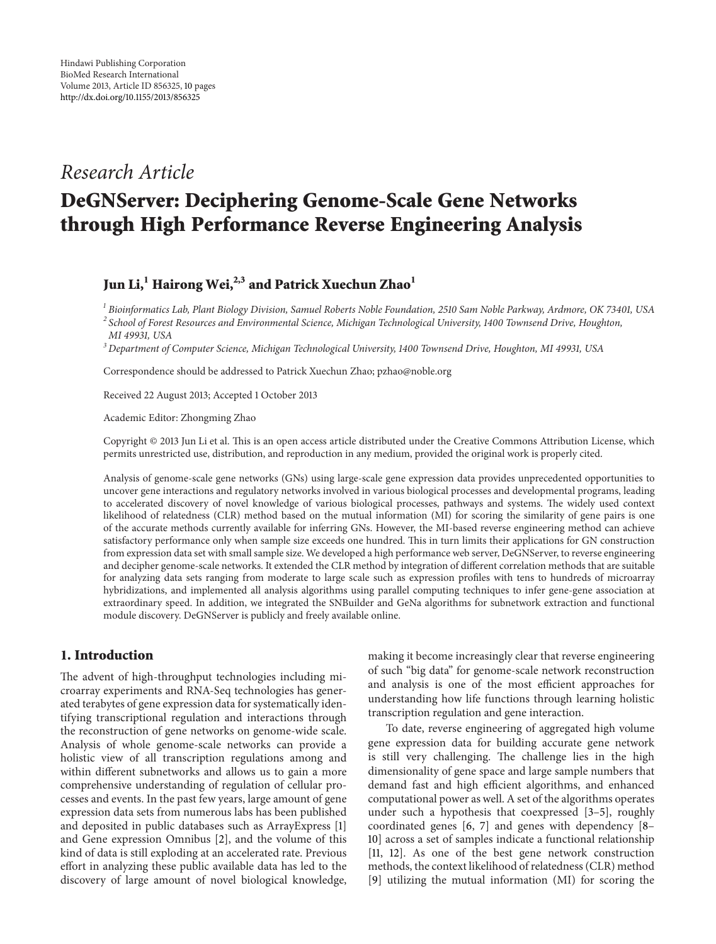# *Research Article*

# **DeGNServer: Deciphering Genome-Scale Gene Networks through High Performance Reverse Engineering Analysis**

# Jun Li,<sup>1</sup> Hairong Wei,<sup>2,3</sup> and Patrick Xuechun Zhao<sup>1</sup>

*<sup>1</sup> Bioinformatics Lab, Plant Biology Division, Samuel Roberts Noble Foundation, 2510 Sam Noble Parkway, Ardmore, OK 73401, USA <sup>2</sup> School of Forest Resources and Environmental Science, Michigan Technological University, 1400 Townsend Drive, Houghton, MI 49931, USA*

*<sup>3</sup> Department of Computer Science, Michigan Technological University, 1400 Townsend Drive, Houghton, MI 49931, USA*

Correspondence should be addressed to Patrick Xuechun Zhao; pzhao@noble.org

Received 22 August 2013; Accepted 1 October 2013

Academic Editor: Zhongming Zhao

Copyright © 2013 Jun Li et al. This is an open access article distributed under the Creative Commons Attribution License, which permits unrestricted use, distribution, and reproduction in any medium, provided the original work is properly cited.

Analysis of genome-scale gene networks (GNs) using large-scale gene expression data provides unprecedented opportunities to uncover gene interactions and regulatory networks involved in various biological processes and developmental programs, leading to accelerated discovery of novel knowledge of various biological processes, pathways and systems. The widely used context likelihood of relatedness (CLR) method based on the mutual information (MI) for scoring the similarity of gene pairs is one of the accurate methods currently available for inferring GNs. However, the MI-based reverse engineering method can achieve satisfactory performance only when sample size exceeds one hundred. This in turn limits their applications for GN construction from expression data set with small sample size. We developed a high performance web server, DeGNServer, to reverse engineering and decipher genome-scale networks. It extended the CLR method by integration of different correlation methods that are suitable for analyzing data sets ranging from moderate to large scale such as expression profiles with tens to hundreds of microarray hybridizations, and implemented all analysis algorithms using parallel computing techniques to infer gene-gene association at extraordinary speed. In addition, we integrated the SNBuilder and GeNa algorithms for subnetwork extraction and functional module discovery. DeGNServer is publicly and freely available online.

# **1. Introduction**

The advent of high-throughput technologies including microarray experiments and RNA-Seq technologies has generated terabytes of gene expression data for systematically identifying transcriptional regulation and interactions through the reconstruction of gene networks on genome-wide scale. Analysis of whole genome-scale networks can provide a holistic view of all transcription regulations among and within different subnetworks and allows us to gain a more comprehensive understanding of regulation of cellular processes and events. In the past few years, large amount of gene expression data sets from numerous labs has been published and deposited in public databases such as ArrayExpress [\[1](#page-7-1)] and Gene expression Omnibus [\[2](#page-7-2)], and the volume of this kind of data is still exploding at an accelerated rate. Previous effort in analyzing these public available data has led to the discovery of large amount of novel biological knowledge, making it become increasingly clear that reverse engineering of such "big data" for genome-scale network reconstruction and analysis is one of the most efficient approaches for understanding how life functions through learning holistic transcription regulation and gene interaction.

To date, reverse engineering of aggregated high volume gene expression data for building accurate gene network is still very challenging. The challenge lies in the high dimensionality of gene space and large sample numbers that demand fast and high efficient algorithms, and enhanced computational power as well. A set of the algorithms operates under such a hypothesis that coexpressed [\[3](#page-7-3)[–5](#page-7-4)], roughly coordinated genes [\[6,](#page-7-5) [7\]](#page-7-6) and genes with dependency [\[8–](#page-7-7) [10\]](#page-8-0) across a set of samples indicate a functional relationship [\[11,](#page-8-1) [12\]](#page-8-2). As one of the best gene network construction methods, the context likelihood of relatedness (CLR) method [\[9\]](#page-8-3) utilizing the mutual information (MI) for scoring the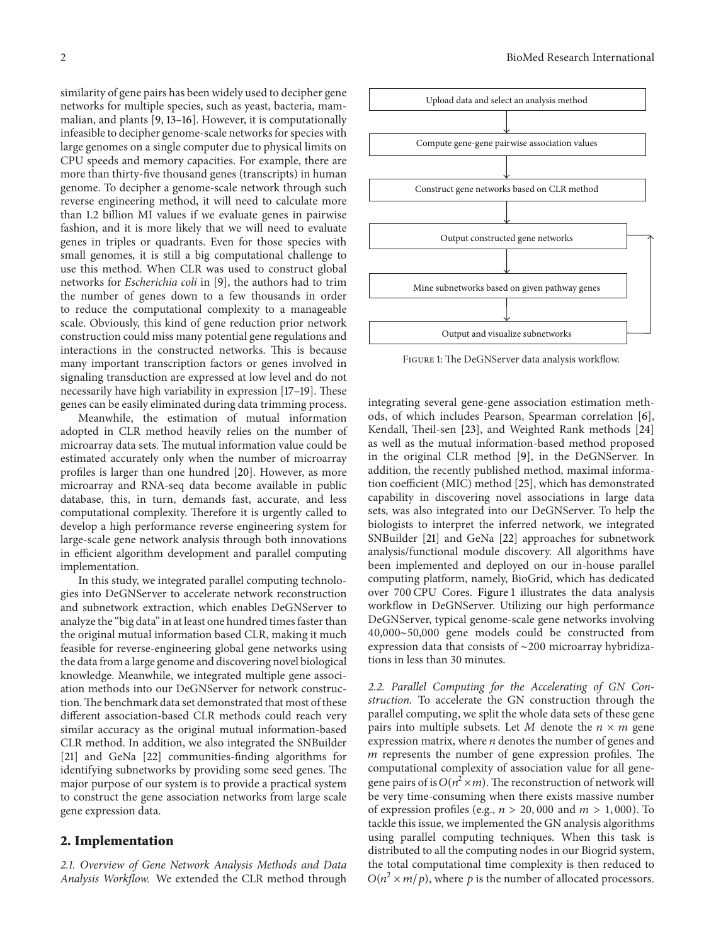similarity of gene pairs has been widely used to decipher gene networks for multiple species, such as yeast, bacteria, mammalian, and plants [\[9,](#page-8-3) [13](#page-8-4)[–16\]](#page-8-5). However, it is computationally infeasible to decipher genome-scale networks for species with large genomes on a single computer due to physical limits on CPU speeds and memory capacities. For example, there are more than thirty-five thousand genes (transcripts) in human genome. To decipher a genome-scale network through such reverse engineering method, it will need to calculate more than 1.2 billion MI values if we evaluate genes in pairwise fashion, and it is more likely that we will need to evaluate genes in triples or quadrants. Even for those species with small genomes, it is still a big computational challenge to use this method. When CLR was used to construct global networks for *Escherichia coli* in [\[9](#page-8-3)], the authors had to trim the number of genes down to a few thousands in order to reduce the computational complexity to a manageable scale. Obviously, this kind of gene reduction prior network construction could miss many potential gene regulations and interactions in the constructed networks. This is because many important transcription factors or genes involved in signaling transduction are expressed at low level and do not necessarily have high variability in expression [\[17](#page-8-6)[–19\]](#page-8-7). These genes can be easily eliminated during data trimming process.

Meanwhile, the estimation of mutual information adopted in CLR method heavily relies on the number of microarray data sets. The mutual information value could be estimated accurately only when the number of microarray profiles is larger than one hundred [\[20\]](#page-8-8). However, as more microarray and RNA-seq data become available in public database, this, in turn, demands fast, accurate, and less computational complexity. Therefore it is urgently called to develop a high performance reverse engineering system for large-scale gene network analysis through both innovations in efficient algorithm development and parallel computing implementation.

In this study, we integrated parallel computing technologies into DeGNServer to accelerate network reconstruction and subnetwork extraction, which enables DeGNServer to analyze the "big data" in at least one hundred times faster than the original mutual information based CLR, making it much feasible for reverse-engineering global gene networks using the data from a large genome and discovering novel biological knowledge. Meanwhile, we integrated multiple gene association methods into our DeGNServer for network construction.The benchmark data set demonstrated that most of these different association-based CLR methods could reach very similar accuracy as the original mutual information-based CLR method. In addition, we also integrated the SNBuilder [\[21](#page-8-9)] and GeNa [\[22](#page-8-10)] communities-finding algorithms for identifying subnetworks by providing some seed genes. The major purpose of our system is to provide a practical system to construct the gene association networks from large scale gene expression data.

# **2. Implementation**

*2.1. Overview of Gene Network Analysis Methods and Data Analysis Workflow.* We extended the CLR method through



<span id="page-1-0"></span>Figure 1: The DeGNServer data analysis workflow.

integrating several gene-gene association estimation methods, of which includes Pearson, Spearman correlation [\[6](#page-7-5)], Kendall, Theil-sen [\[23](#page-8-11)], and Weighted Rank methods [\[24](#page-8-12)] as well as the mutual information-based method proposed in the original CLR method [\[9\]](#page-8-3), in the DeGNServer. In addition, the recently published method, maximal information coefficient (MIC) method [\[25\]](#page-8-13), which has demonstrated capability in discovering novel associations in large data sets, was also integrated into our DeGNServer. To help the biologists to interpret the inferred network, we integrated SNBuilder [\[21](#page-8-9)] and GeNa [\[22\]](#page-8-10) approaches for subnetwork analysis/functional module discovery. All algorithms have been implemented and deployed on our in-house parallel computing platform, namely, BioGrid, which has dedicated over 700 CPU Cores. [Figure 1](#page-1-0) illustrates the data analysis workflow in DeGNServer. Utilizing our high performance DeGNServer, typical genome-scale gene networks involving 40,000∼50,000 gene models could be constructed from expression data that consists of ∼200 microarray hybridizations in less than 30 minutes.

*2.2. Parallel Computing for the Accelerating of GN Construction.* To accelerate the GN construction through the parallel computing, we split the whole data sets of these gene pairs into multiple subsets. Let  $M$  denote the  $n \times m$  gene expression matrix, where  $n$  denotes the number of genes and  *represents the number of gene expression profiles. The* computational complexity of association value for all genegene pairs of is  $O(n^2 \times m)$ . The reconstruction of network will be very time-consuming when there exists massive number of expression profiles (e.g.,  $n > 20,000$  and  $m > 1,000$ ). To tackle this issue, we implemented the GN analysis algorithms using parallel computing techniques. When this task is distributed to all the computing nodes in our Biogrid system, the total computational time complexity is then reduced to  $O(n^2 \times m/p)$ , where p is the number of allocated processors.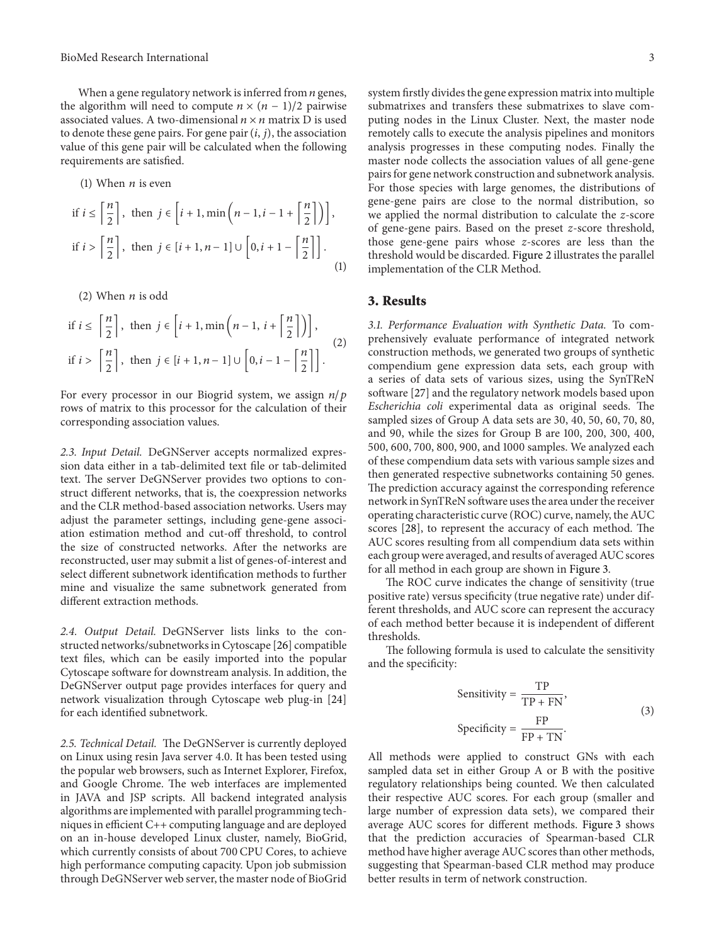When a gene regulatory network is inferred from  $n$  genes, the algorithm will need to compute  $n \times (n-1)/2$  pairwise associated values. A two-dimensional  $n \times n$  matrix D is used to denote these gene pairs. For gene pair  $(i, j)$ , the association value of this gene pair will be calculated when the following requirements are satisfied.

(1) When *n* is even  
\nif 
$$
i \le \left\lceil \frac{n}{2} \right\rceil
$$
, then  $j \in \left[ i + 1, \min\left( n - 1, i - 1 + \left\lceil \frac{n}{2} \right\rceil \right) \right]$ ,  
\nif  $i > \left\lceil \frac{n}{2} \right\rceil$ , then  $j \in [i + 1, n - 1] \cup \left[ 0, i + 1 - \left\lceil \frac{n}{2} \right\rceil \right]$ . (1)

(2) When  $n$  is odd

$$
\text{if } i \le \left\lceil \frac{n}{2} \right\rceil, \text{ then } j \in \left[ i+1, \min\left( n-1, i+ \left\lceil \frac{n}{2} \right\rceil \right) \right],
$$
\n
$$
\text{if } i > \left\lceil \frac{n}{2} \right\rceil, \text{ then } j \in \left[ i+1, n-1 \right] \cup \left[ 0, i-1- \left\lceil \frac{n}{2} \right\rceil \right].
$$
\n
$$
(2)
$$

For every processor in our Biogrid system, we assign  $n/p$ rows of matrix to this processor for the calculation of their corresponding association values.

*2.3. Input Detail.* DeGNServer accepts normalized expression data either in a tab-delimited text file or tab-delimited text. The server DeGNServer provides two options to construct different networks, that is, the coexpression networks and the CLR method-based association networks. Users may adjust the parameter settings, including gene-gene association estimation method and cut-off threshold, to control the size of constructed networks. After the networks are reconstructed, user may submit a list of genes-of-interest and select different subnetwork identification methods to further mine and visualize the same subnetwork generated from different extraction methods.

*2.4. Output Detail.* DeGNServer lists links to the constructed networks/subnetworks in Cytoscape [\[26\]](#page-8-14) compatible text files, which can be easily imported into the popular Cytoscape software for downstream analysis. In addition, the DeGNServer output page provides interfaces for query and network visualization through Cytoscape web plug-in [\[24](#page-8-12)] for each identified subnetwork.

*2.5. Technical Detail.* The DeGNServer is currently deployed on Linux using resin Java server 4.0. It has been tested using the popular web browsers, such as Internet Explorer, Firefox, and Google Chrome. The web interfaces are implemented in JAVA and JSP scripts. All backend integrated analysis algorithms are implemented with parallel programming techniques in efficient C++ computing language and are deployed on an in-house developed Linux cluster, namely, BioGrid, which currently consists of about 700 CPU Cores, to achieve high performance computing capacity. Upon job submission through DeGNServer web server, the master node of BioGrid

system firstly divides the gene expression matrix into multiple submatrixes and transfers these submatrixes to slave computing nodes in the Linux Cluster. Next, the master node remotely calls to execute the analysis pipelines and monitors analysis progresses in these computing nodes. Finally the master node collects the association values of all gene-gene pairs for gene network construction and subnetwork analysis. For those species with large genomes, the distributions of gene-gene pairs are close to the normal distribution, so we applied the normal distribution to calculate the *z*-score of gene-gene pairs. Based on the preset *z*-score threshold, those gene-gene pairs whose *z*-scores are less than the threshold would be discarded. [Figure 2](#page-3-0) illustrates the parallel implementation of the CLR Method.

## **3. Results**

*3.1. Performance Evaluation with Synthetic Data.* To comprehensively evaluate performance of integrated network construction methods, we generated two groups of synthetic compendium gene expression data sets, each group with a series of data sets of various sizes, using the SynTReN software [\[27\]](#page-8-15) and the regulatory network models based upon *Escherichia coli* experimental data as original seeds. The sampled sizes of Group A data sets are 30, 40, 50, 60, 70, 80, and 90, while the sizes for Group B are 100, 200, 300, 400, 500, 600, 700, 800, 900, and 1000 samples. We analyzed each of these compendium data sets with various sample sizes and then generated respective subnetworks containing 50 genes. The prediction accuracy against the corresponding reference network in SynTReN software uses the area under the receiver operating characteristic curve (ROC) curve, namely, the AUC scores [\[28](#page-8-16)], to represent the accuracy of each method. The AUC scores resulting from all compendium data sets within each group were averaged, and results of averaged AUC scores for all method in each group are shown in [Figure 3.](#page-4-0)

The ROC curve indicates the change of sensitivity (true positive rate) versus specificity (true negative rate) under different thresholds, and AUC score can represent the accuracy of each method better because it is independent of different thresholds.

The following formula is used to calculate the sensitivity and the specificity:

Sensitivity = 
$$
\frac{TP}{TP + FN}
$$
,  
Specificity =  $\frac{FP}{FP + TN}$ . (3)

All methods were applied to construct GNs with each sampled data set in either Group A or B with the positive regulatory relationships being counted. We then calculated their respective AUC scores. For each group (smaller and large number of expression data sets), we compared their average AUC scores for different methods. [Figure 3](#page-4-0) shows that the prediction accuracies of Spearman-based CLR method have higher average AUC scores than other methods, suggesting that Spearman-based CLR method may produce better results in term of network construction.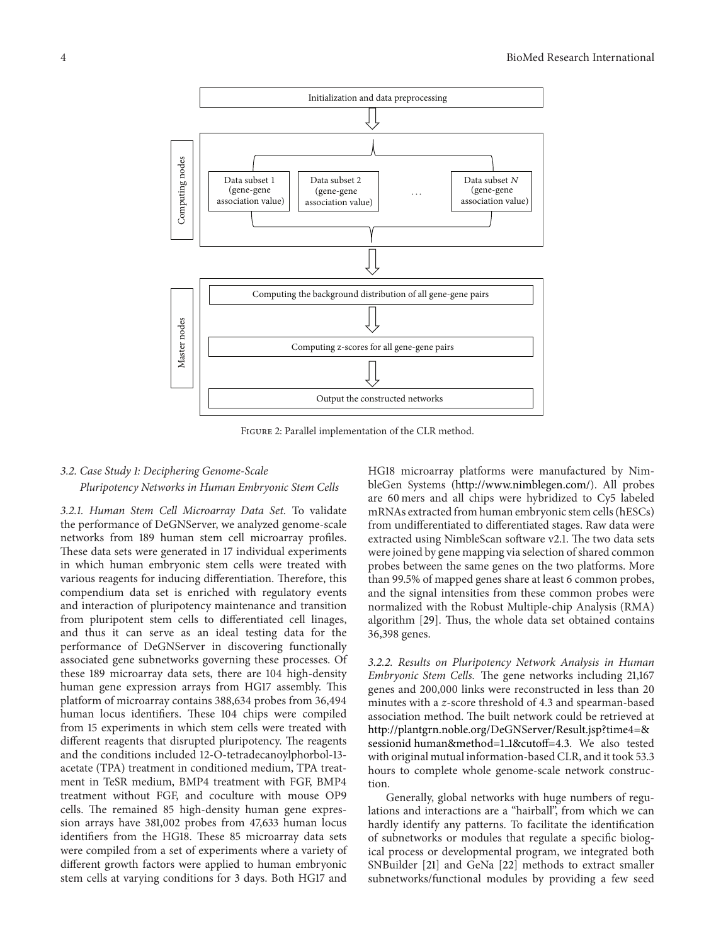

<span id="page-3-0"></span>Figure 2: Parallel implementation of the CLR method.

# *3.2. Case Study 1: Deciphering Genome-Scale Pluripotency Networks in Human Embryonic Stem Cells*

*3.2.1. Human Stem Cell Microarray Data Set.* To validate the performance of DeGNServer, we analyzed genome-scale networks from 189 human stem cell microarray profiles. These data sets were generated in 17 individual experiments in which human embryonic stem cells were treated with various reagents for inducing differentiation. Therefore, this compendium data set is enriched with regulatory events and interaction of pluripotency maintenance and transition from pluripotent stem cells to differentiated cell linages, and thus it can serve as an ideal testing data for the performance of DeGNServer in discovering functionally associated gene subnetworks governing these processes. Of these 189 microarray data sets, there are 104 high-density human gene expression arrays from HG17 assembly. This platform of microarray contains 388,634 probes from 36,494 human locus identifiers. These 104 chips were compiled from 15 experiments in which stem cells were treated with different reagents that disrupted pluripotency. The reagents and the conditions included 12-O-tetradecanoylphorbol-13 acetate (TPA) treatment in conditioned medium, TPA treatment in TeSR medium, BMP4 treatment with FGF, BMP4 treatment without FGF, and coculture with mouse OP9 cells. The remained 85 high-density human gene expression arrays have 381,002 probes from 47,633 human locus identifiers from the HG18. These 85 microarray data sets were compiled from a set of experiments where a variety of different growth factors were applied to human embryonic stem cells at varying conditions for 3 days. Both HG17 and

HG18 microarray platforms were manufactured by NimbleGen Systems [\(http://www.nimblegen.com/\)](http://www.nimblegen.com/). All probes are 60 mers and all chips were hybridized to Cy5 labeled mRNAs extracted from human embryonic stem cells (hESCs) from undifferentiated to differentiated stages. Raw data were extracted using NimbleScan software v2.1. The two data sets were joined by gene mapping via selection of shared common probes between the same genes on the two platforms. More than 99.5% of mapped genes share at least 6 common probes, and the signal intensities from these common probes were normalized with the Robust Multiple-chip Analysis (RMA) algorithm [\[29](#page-8-17)]. Thus, the whole data set obtained contains 36,398 genes.

*3.2.2. Results on Pluripotency Network Analysis in Human Embryonic Stem Cells.* The gene networks including 21,167 genes and 200,000 links were reconstructed in less than 20 minutes with a *z*-score threshold of 4.3 and spearman-based association method. The built network could be retrieved at [http://plantgrn.noble.org/DeGNServer/Result.jsp?time4=&](http://plantgrn.noble.org/DeGNServer/Result.jsp?time4=&sessionid{%}20human&method=1_1&cutoff=4.3) [sessionid human&method=1](http://plantgrn.noble.org/DeGNServer/Result.jsp?time4=&sessionid{%}20human&method=1_1&cutoff=4.3) 1&cutoff=4.3. We also tested with original mutual information-based CLR, and it took 53.3 hours to complete whole genome-scale network construction.

Generally, global networks with huge numbers of regulations and interactions are a "hairball", from which we can hardly identify any patterns. To facilitate the identification of subnetworks or modules that regulate a specific biological process or developmental program, we integrated both SNBuilder [\[21](#page-8-9)] and GeNa [\[22\]](#page-8-10) methods to extract smaller subnetworks/functional modules by providing a few seed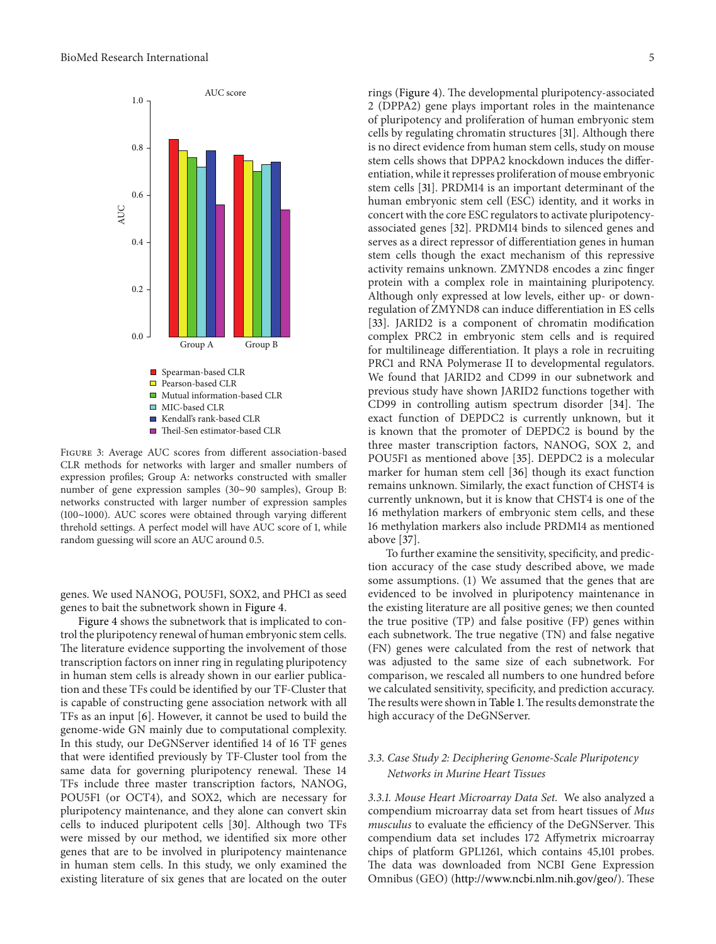

<span id="page-4-0"></span>Figure 3: Average AUC scores from different association-based CLR methods for networks with larger and smaller numbers of expression profiles; Group A: networks constructed with smaller number of gene expression samples (30∼90 samples), Group B: networks constructed with larger number of expression samples (100∼1000). AUC scores were obtained through varying different threhold settings. A perfect model will have AUC score of 1, while random guessing will score an AUC around 0.5.

genes. We used NANOG, POU5F1, SOX2, and PHC1 as seed genes to bait the subnetwork shown in [Figure 4.](#page-5-0)

[Figure 4](#page-5-0) shows the subnetwork that is implicated to control the pluripotency renewal of human embryonic stem cells. The literature evidence supporting the involvement of those transcription factors on inner ring in regulating pluripotency in human stem cells is already shown in our earlier publication and these TFs could be identified by our TF-Cluster that is capable of constructing gene association network with all TFs as an input [\[6\]](#page-7-5). However, it cannot be used to build the genome-wide GN mainly due to computational complexity. In this study, our DeGNServer identified 14 of 16 TF genes that were identified previously by TF-Cluster tool from the same data for governing pluripotency renewal. These 14 TFs include three master transcription factors, NANOG, POU5F1 (or OCT4), and SOX2, which are necessary for pluripotency maintenance, and they alone can convert skin cells to induced pluripotent cells [\[30](#page-8-18)]. Although two TFs were missed by our method, we identified six more other genes that are to be involved in pluripotency maintenance in human stem cells. In this study, we only examined the existing literature of six genes that are located on the outer rings [\(Figure 4\)](#page-5-0). The developmental pluripotency-associated 2 (DPPA2) gene plays important roles in the maintenance of pluripotency and proliferation of human embryonic stem cells by regulating chromatin structures [\[31\]](#page-8-19). Although there is no direct evidence from human stem cells, study on mouse stem cells shows that DPPA2 knockdown induces the differentiation, while it represses proliferation of mouse embryonic stem cells [\[31](#page-8-19)]. PRDM14 is an important determinant of the human embryonic stem cell (ESC) identity, and it works in concert with the core ESC regulators to activate pluripotencyassociated genes [\[32\]](#page-8-20). PRDM14 binds to silenced genes and serves as a direct repressor of differentiation genes in human stem cells though the exact mechanism of this repressive activity remains unknown. ZMYND8 encodes a zinc finger protein with a complex role in maintaining pluripotency. Although only expressed at low levels, either up- or downregulation of ZMYND8 can induce differentiation in ES cells [\[33\]](#page-8-21). JARID2 is a component of chromatin modification complex PRC2 in embryonic stem cells and is required for multilineage differentiation. It plays a role in recruiting PRC1 and RNA Polymerase II to developmental regulators. We found that JARID2 and CD99 in our subnetwork and previous study have shown JARID2 functions together with CD99 in controlling autism spectrum disorder [\[34](#page-8-22)]. The exact function of DEPDC2 is currently unknown, but it is known that the promoter of DEPDC2 is bound by the three master transcription factors, NANOG, SOX 2, and POU5F1 as mentioned above [\[35\]](#page-8-23). DEPDC2 is a molecular marker for human stem cell [\[36](#page-8-24)] though its exact function remains unknown. Similarly, the exact function of CHST4 is currently unknown, but it is know that CHST4 is one of the 16 methylation markers of embryonic stem cells, and these 16 methylation markers also include PRDM14 as mentioned above [\[37](#page-8-25)].

To further examine the sensitivity, specificity, and prediction accuracy of the case study described above, we made some assumptions. (1) We assumed that the genes that are evidenced to be involved in pluripotency maintenance in the existing literature are all positive genes; we then counted the true positive (TP) and false positive (FP) genes within each subnetwork. The true negative (TN) and false negative (FN) genes were calculated from the rest of network that was adjusted to the same size of each subnetwork. For comparison, we rescaled all numbers to one hundred before we calculated sensitivity, specificity, and prediction accuracy. The results were shown in [Table 1.](#page-5-1) The results demonstrate the high accuracy of the DeGNServer.

# *3.3. Case Study 2: Deciphering Genome-Scale Pluripotency Networks in Murine Heart Tissues*

*3.3.1. Mouse Heart Microarray Data Set.* We also analyzed a compendium microarray data set from heart tissues of *Mus musculus* to evaluate the efficiency of the DeGNServer. This compendium data set includes 172 Affymetrix microarray chips of platform GPL1261, which contains 45,101 probes. The data was downloaded from NCBI Gene Expression Omnibus (GEO) [\(http://www.ncbi.nlm.nih.gov/geo/\)](http://www.ncbi.nlm.nih.gov/geo/). These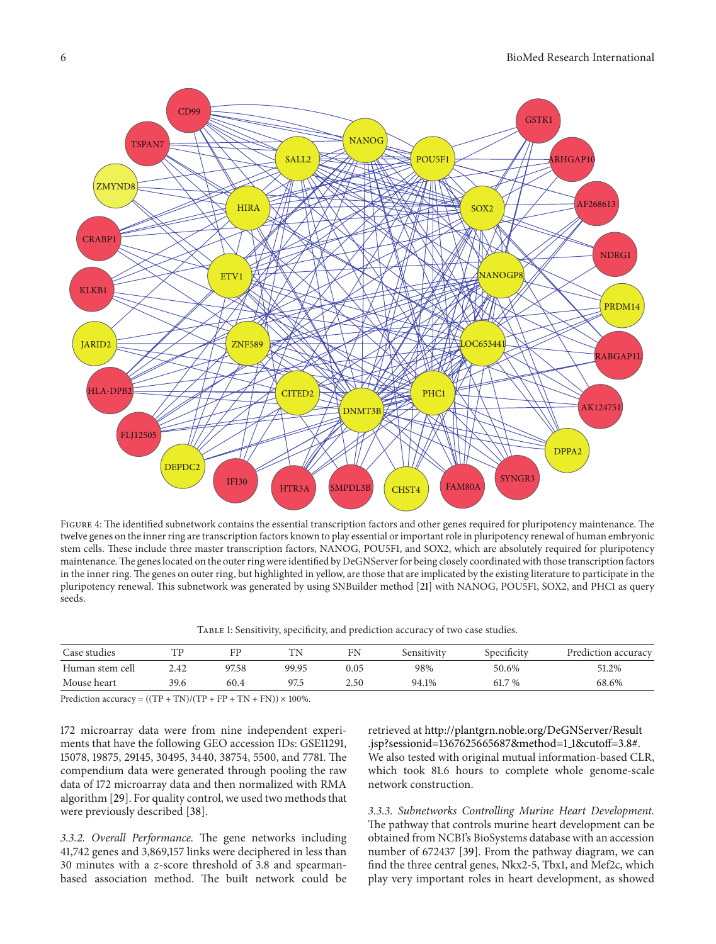

<span id="page-5-0"></span>FIGURE 4: The identified subnetwork contains the essential transcription factors and other genes required for pluripotency maintenance. The twelve genes on the inner ring are transcription factors known to play essential or important role in pluripotency renewal of human embryonic stem cells. These include three master transcription factors, NANOG, POU5F1, and SOX2, which are absolutely required for pluripotency maintenance.The genes located on the outer ring were identified by DeGNServer for being closely coordinated with those transcription factors in the inner ring. The genes on outer ring, but highlighted in yellow, are those that are implicated by the existing literature to participate in the pluripotency renewal. This subnetwork was generated by using SNBuilder method [\[21](#page-8-9)] with NANOG, POU5F1, SOX2, and PHC1 as query seeds.

<span id="page-5-1"></span>

| Case studies    |      | FP    | ΤN    | FN       | sensitivity | Specificity | Prediction accuracy |
|-----------------|------|-------|-------|----------|-------------|-------------|---------------------|
| Human stem cell | 2.42 | 97.58 | 99.95 | $0.05\,$ | 98%         | 50.6%       | 51.2%               |
| Mouse heart     | 39.6 | 60.4  | 97.5  | 2.50     | 94.1%       | 61.7 %      | 68.6%               |

Prediction accuracy =  $((TP + TN)/(TP + FP + TN + FN)) \times 100\%$ .

172 microarray data were from nine independent experiments that have the following GEO accession IDs: GSE11291, 15078, 19875, 29145, 30495, 3440, 38754, 5500, and 7781. The compendium data were generated through pooling the raw data of 172 microarray data and then normalized with RMA algorithm [\[29\]](#page-8-17). For quality control, we used two methods that were previously described [\[38\]](#page-8-26).

*3.3.2. Overall Performance.* The gene networks including 41,742 genes and 3,869,157 links were deciphered in less than 30 minutes with a *z*-score threshold of 3.8 and spearmanbased association method. The built network could be retrieved at [http://plantgrn.noble.org/DeGNServer/Result](http://plantgrn.noble.org/DeGNServer/Result.jsp?sessionid=1367625665687&method=1_1&cutoff=3.8{%}23) [.jsp?sessionid=1367625665687&method=1](http://plantgrn.noble.org/DeGNServer/Result.jsp?sessionid=1367625665687&method=1_1&cutoff=3.8{%}23) 1&cutoff=3.8#. We also tested with original mutual information-based CLR, which took 81.6 hours to complete whole genome-scale network construction.

*3.3.3. Subnetworks Controlling Murine Heart Development.* The pathway that controls murine heart development can be obtained from NCBI's BioSystems database with an accession number of 672437 [\[39](#page-8-27)]. From the pathway diagram, we can find the three central genes, Nkx2-5, Tbx1, and Mef2c, which play very important roles in heart development, as showed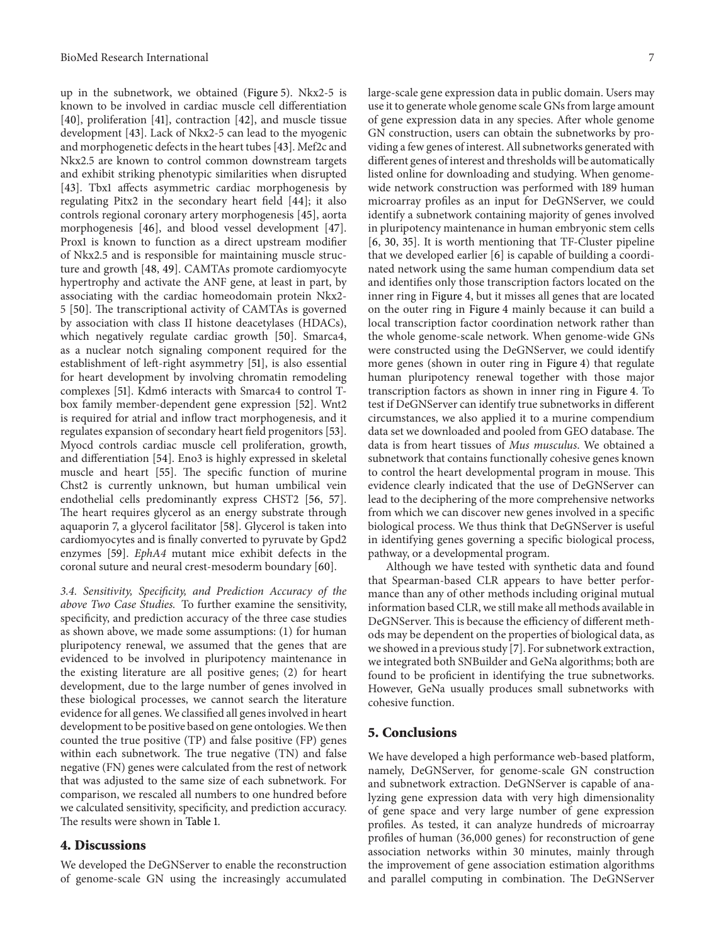up in the subnetwork, we obtained [\(Figure 5\)](#page-7-8). Nkx2-5 is known to be involved in cardiac muscle cell differentiation [\[40\]](#page-8-28), proliferation [\[41](#page-8-29)], contraction [\[42\]](#page-8-30), and muscle tissue development [\[43\]](#page-9-0). Lack of Nkx2-5 can lead to the myogenic and morphogenetic defects in the heart tubes [\[43\]](#page-9-0). Mef2c and Nkx2.5 are known to control common downstream targets and exhibit striking phenotypic similarities when disrupted [\[43](#page-9-0)]. Tbx1 affects asymmetric cardiac morphogenesis by regulating Pitx2 in the secondary heart field [\[44\]](#page-9-1); it also controls regional coronary artery morphogenesis [\[45\]](#page-9-2), aorta morphogenesis [\[46\]](#page-9-3), and blood vessel development [\[47\]](#page-9-4). Prox1 is known to function as a direct upstream modifier of Nkx2.5 and is responsible for maintaining muscle structure and growth [\[48](#page-9-5), [49](#page-9-6)]. CAMTAs promote cardiomyocyte hypertrophy and activate the ANF gene, at least in part, by associating with the cardiac homeodomain protein Nkx2- 5 [\[50](#page-9-7)]. The transcriptional activity of CAMTAs is governed by association with class II histone deacetylases (HDACs), which negatively regulate cardiac growth [\[50](#page-9-7)]. Smarca4, as a nuclear notch signaling component required for the establishment of left-right asymmetry [\[51\]](#page-9-8), is also essential for heart development by involving chromatin remodeling complexes [\[51\]](#page-9-8). Kdm6 interacts with Smarca4 to control Tbox family member-dependent gene expression [\[52\]](#page-9-9). Wnt2 is required for atrial and inflow tract morphogenesis, and it regulates expansion of secondary heart field progenitors [\[53\]](#page-9-10). Myocd controls cardiac muscle cell proliferation, growth, and differentiation [\[54\]](#page-9-11). Eno3 is highly expressed in skeletal muscle and heart [\[55](#page-9-12)]. The specific function of murine Chst2 is currently unknown, but human umbilical vein endothelial cells predominantly express CHST2 [\[56](#page-9-13), [57\]](#page-9-14). The heart requires glycerol as an energy substrate through aquaporin 7, a glycerol facilitator [\[58\]](#page-9-15). Glycerol is taken into cardiomyocytes and is finally converted to pyruvate by Gpd2 enzymes [\[59](#page-9-16)]. *EphA4* mutant mice exhibit defects in the coronal suture and neural crest-mesoderm boundary [\[60\]](#page-9-17).

*3.4. Sensitivity, Specificity, and Prediction Accuracy of the above Two Case Studies.* To further examine the sensitivity, specificity, and prediction accuracy of the three case studies as shown above, we made some assumptions: (1) for human pluripotency renewal, we assumed that the genes that are evidenced to be involved in pluripotency maintenance in the existing literature are all positive genes; (2) for heart development, due to the large number of genes involved in these biological processes, we cannot search the literature evidence for all genes. We classified all genes involved in heart development to be positive based on gene ontologies. We then counted the true positive (TP) and false positive (FP) genes within each subnetwork. The true negative (TN) and false negative (FN) genes were calculated from the rest of network that was adjusted to the same size of each subnetwork. For comparison, we rescaled all numbers to one hundred before we calculated sensitivity, specificity, and prediction accuracy. The results were shown in [Table 1.](#page-5-1)

# **4. Discussions**

We developed the DeGNServer to enable the reconstruction of genome-scale GN using the increasingly accumulated large-scale gene expression data in public domain. Users may use it to generate whole genome scale GNs from large amount of gene expression data in any species. After whole genome GN construction, users can obtain the subnetworks by providing a few genes of interest. All subnetworks generated with different genes of interest and thresholds will be automatically listed online for downloading and studying. When genomewide network construction was performed with 189 human microarray profiles as an input for DeGNServer, we could identify a subnetwork containing majority of genes involved in pluripotency maintenance in human embryonic stem cells [\[6,](#page-7-5) [30](#page-8-18), [35](#page-8-23)]. It is worth mentioning that TF-Cluster pipeline that we developed earlier [\[6](#page-7-5)] is capable of building a coordinated network using the same human compendium data set and identifies only those transcription factors located on the inner ring in [Figure 4,](#page-5-0) but it misses all genes that are located on the outer ring in [Figure 4](#page-5-0) mainly because it can build a local transcription factor coordination network rather than the whole genome-scale network. When genome-wide GNs were constructed using the DeGNServer, we could identify more genes (shown in outer ring in [Figure 4\)](#page-5-0) that regulate human pluripotency renewal together with those major transcription factors as shown in inner ring in [Figure 4.](#page-5-0) To test if DeGNServer can identify true subnetworks in different circumstances, we also applied it to a murine compendium data set we downloaded and pooled from GEO database. The data is from heart tissues of *Mus musculus*. We obtained a subnetwork that contains functionally cohesive genes known to control the heart developmental program in mouse. This evidence clearly indicated that the use of DeGNServer can lead to the deciphering of the more comprehensive networks from which we can discover new genes involved in a specific biological process. We thus think that DeGNServer is useful in identifying genes governing a specific biological process, pathway, or a developmental program.

Although we have tested with synthetic data and found that Spearman-based CLR appears to have better performance than any of other methods including original mutual information based CLR, we still make all methods available in DeGNServer. This is because the efficiency of different methods may be dependent on the properties of biological data, as we showed in a previous study [\[7](#page-7-6)]. For subnetwork extraction, we integrated both SNBuilder and GeNa algorithms; both are found to be proficient in identifying the true subnetworks. However, GeNa usually produces small subnetworks with cohesive function.

## **5. Conclusions**

We have developed a high performance web-based platform, namely, DeGNServer, for genome-scale GN construction and subnetwork extraction. DeGNServer is capable of analyzing gene expression data with very high dimensionality of gene space and very large number of gene expression profiles. As tested, it can analyze hundreds of microarray profiles of human (36,000 genes) for reconstruction of gene association networks within 30 minutes, mainly through the improvement of gene association estimation algorithms and parallel computing in combination. The DeGNServer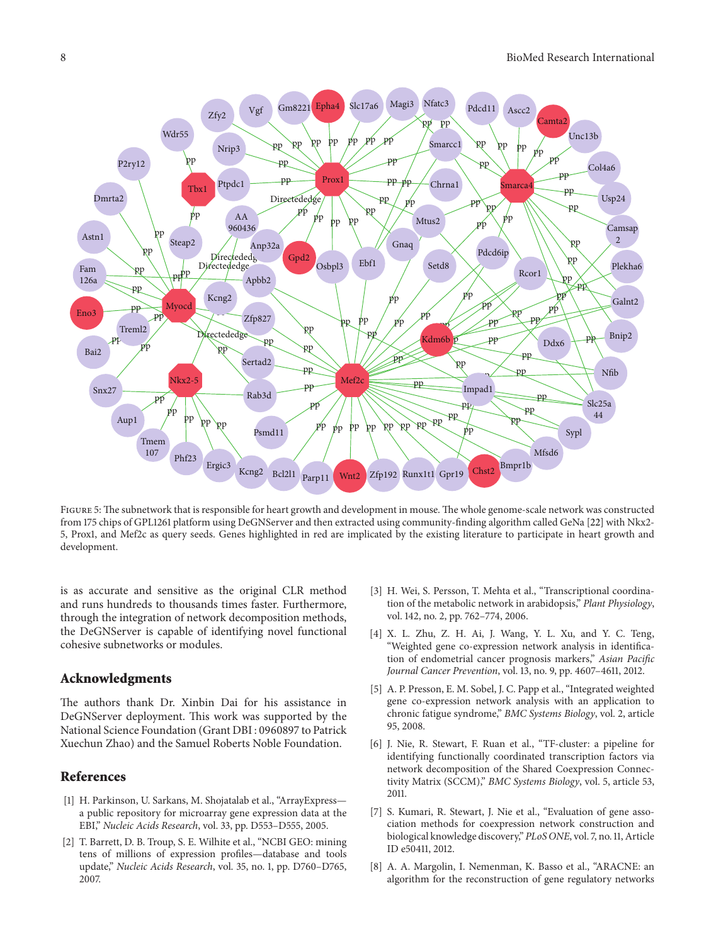

Figure 5: The subnetwork that is responsible for heart growth and development in mouse. The whole genome-scale network was constructed from 175 chips of GPL1261 platform using DeGNServer and then extracted using community-finding algorithm called GeNa [\[22](#page-8-10)] with Nkx2- 5, Prox1, and Mef2c as query seeds. Genes highlighted in red are implicated by the existing literature to participate in heart growth and development.

<span id="page-7-8"></span>is as accurate and sensitive as the original CLR method and runs hundreds to thousands times faster. Furthermore, through the integration of network decomposition methods, the DeGNServer is capable of identifying novel functional cohesive subnetworks or modules.

### **Acknowledgments**

The authors thank Dr. Xinbin Dai for his assistance in DeGNServer deployment. This work was supported by the National Science Foundation (Grant DBI : 0960897 to Patrick Xuechun Zhao) and the Samuel Roberts Noble Foundation.

# <span id="page-7-0"></span>**References**

- <span id="page-7-1"></span>[1] H. Parkinson, U. Sarkans, M. Shojatalab et al., "ArrayExpress a public repository for microarray gene expression data at the EBI," *Nucleic Acids Research*, vol. 33, pp. D553–D555, 2005.
- <span id="page-7-2"></span>[2] T. Barrett, D. B. Troup, S. E. Wilhite et al., "NCBI GEO: mining tens of millions of expression profiles—database and tools update," *Nucleic Acids Research*, vol. 35, no. 1, pp. D760–D765, 2007.
- <span id="page-7-3"></span>[3] H. Wei, S. Persson, T. Mehta et al., "Transcriptional coordination of the metabolic network in arabidopsis," *Plant Physiology*, vol. 142, no. 2, pp. 762–774, 2006.
- [4] X. L. Zhu, Z. H. Ai, J. Wang, Y. L. Xu, and Y. C. Teng, "Weighted gene co-expression network analysis in identification of endometrial cancer prognosis markers," *Asian Pacific Journal Cancer Prevention*, vol. 13, no. 9, pp. 4607–4611, 2012.
- <span id="page-7-4"></span>[5] A. P. Presson, E. M. Sobel, J. C. Papp et al., "Integrated weighted gene co-expression network analysis with an application to chronic fatigue syndrome," *BMC Systems Biology*, vol. 2, article 95, 2008.
- <span id="page-7-5"></span>[6] J. Nie, R. Stewart, F. Ruan et al., "TF-cluster: a pipeline for identifying functionally coordinated transcription factors via network decomposition of the Shared Coexpression Connectivity Matrix (SCCM)," *BMC Systems Biology*, vol. 5, article 53, 2011.
- <span id="page-7-6"></span>[7] S. Kumari, R. Stewart, J. Nie et al., "Evaluation of gene association methods for coexpression network construction and biological knowledge discovery," *PLoS ONE*, vol. 7, no. 11, Article ID e50411, 2012.
- <span id="page-7-7"></span>[8] A. A. Margolin, I. Nemenman, K. Basso et al., "ARACNE: an algorithm for the reconstruction of gene regulatory networks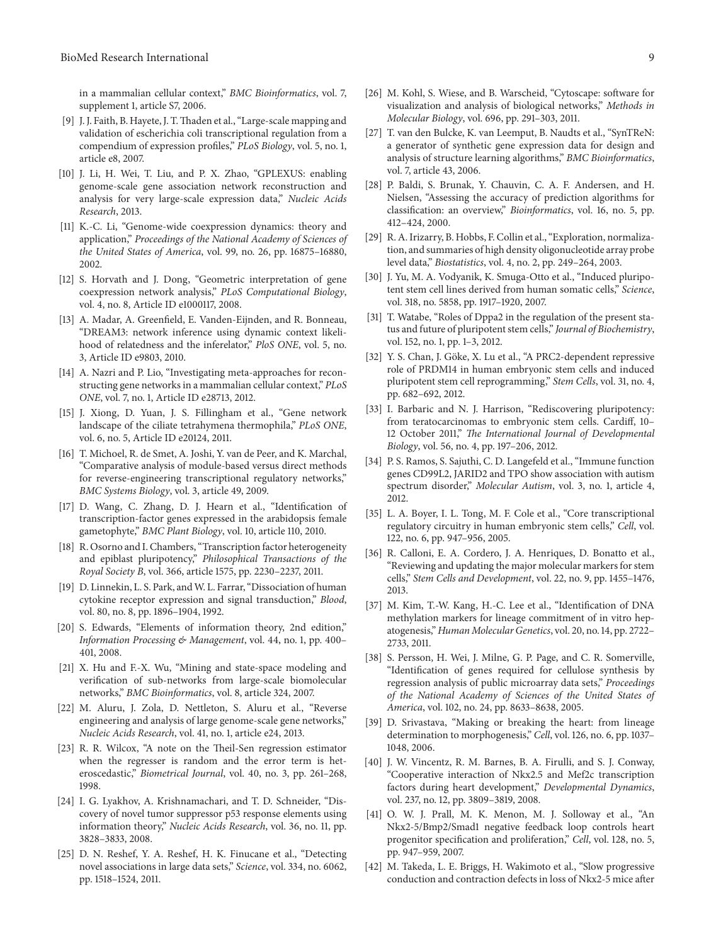in a mammalian cellular context," *BMC Bioinformatics*, vol. 7, supplement 1, article S7, 2006.

- <span id="page-8-3"></span>[9] J. J. Faith, B. Hayete, J. T.Thaden et al., "Large-scale mapping and validation of escherichia coli transcriptional regulation from a compendium of expression profiles," *PLoS Biology*, vol. 5, no. 1, article e8, 2007.
- <span id="page-8-0"></span>[10] J. Li, H. Wei, T. Liu, and P. X. Zhao, "GPLEXUS: enabling genome-scale gene association network reconstruction and analysis for very large-scale expression data," *Nucleic Acids Research*, 2013.
- <span id="page-8-1"></span>[11] K.-C. Li, "Genome-wide coexpression dynamics: theory and application," *Proceedings of the National Academy of Sciences of the United States of America*, vol. 99, no. 26, pp. 16875–16880, 2002.
- <span id="page-8-2"></span>[12] S. Horvath and J. Dong, "Geometric interpretation of gene coexpression network analysis," *PLoS Computational Biology*, vol. 4, no. 8, Article ID e1000117, 2008.
- <span id="page-8-4"></span>[13] A. Madar, A. Greenfield, E. Vanden-Eijnden, and R. Bonneau, "DREAM3: network inference using dynamic context likelihood of relatedness and the inferelator," *PloS ONE*, vol. 5, no. 3, Article ID e9803, 2010.
- [14] A. Nazri and P. Lio, "Investigating meta-approaches for reconstructing gene networks in a mammalian cellular context," *PLoS ONE*, vol. 7, no. 1, Article ID e28713, 2012.
- [15] J. Xiong, D. Yuan, J. S. Fillingham et al., "Gene network landscape of the ciliate tetrahymena thermophila," *PLoS ONE*, vol. 6, no. 5, Article ID e20124, 2011.
- <span id="page-8-5"></span>[16] T. Michoel, R. de Smet, A. Joshi, Y. van de Peer, and K. Marchal, "Comparative analysis of module-based versus direct methods for reverse-engineering transcriptional regulatory networks," *BMC Systems Biology*, vol. 3, article 49, 2009.
- <span id="page-8-6"></span>[17] D. Wang, C. Zhang, D. J. Hearn et al., "Identification of transcription-factor genes expressed in the arabidopsis female gametophyte," *BMC Plant Biology*, vol. 10, article 110, 2010.
- [18] R. Osorno and I. Chambers, "Transcription factor heterogeneity and epiblast pluripotency," *Philosophical Transactions of the Royal Society B*, vol. 366, article 1575, pp. 2230–2237, 2011.
- <span id="page-8-7"></span>[19] D. Linnekin, L. S. Park, and W. L. Farrar, "Dissociation of human cytokine receptor expression and signal transduction," *Blood*, vol. 80, no. 8, pp. 1896–1904, 1992.
- <span id="page-8-8"></span>[20] S. Edwards, "Elements of information theory, 2nd edition," *Information Processing & Management*, vol. 44, no. 1, pp. 400– 401, 2008.
- <span id="page-8-9"></span>[21] X. Hu and F.-X. Wu, "Mining and state-space modeling and verification of sub-networks from large-scale biomolecular networks," *BMC Bioinformatics*, vol. 8, article 324, 2007.
- <span id="page-8-10"></span>[22] M. Aluru, J. Zola, D. Nettleton, S. Aluru et al., "Reverse engineering and analysis of large genome-scale gene networks," *Nucleic Acids Research*, vol. 41, no. 1, article e24, 2013.
- <span id="page-8-11"></span>[23] R. R. Wilcox, "A note on the Theil-Sen regression estimator when the regresser is random and the error term is heteroscedastic," *Biometrical Journal*, vol. 40, no. 3, pp. 261–268, 1998.
- <span id="page-8-12"></span>[24] I. G. Lyakhov, A. Krishnamachari, and T. D. Schneider, "Discovery of novel tumor suppressor p53 response elements using information theory," *Nucleic Acids Research*, vol. 36, no. 11, pp. 3828–3833, 2008.
- <span id="page-8-13"></span>[25] D. N. Reshef, Y. A. Reshef, H. K. Finucane et al., "Detecting novel associations in large data sets," *Science*, vol. 334, no. 6062, pp. 1518–1524, 2011.
- <span id="page-8-14"></span>[26] M. Kohl, S. Wiese, and B. Warscheid, "Cytoscape: software for visualization and analysis of biological networks," *Methods in Molecular Biology*, vol. 696, pp. 291–303, 2011.
- <span id="page-8-15"></span>[27] T. van den Bulcke, K. van Leemput, B. Naudts et al., "SynTReN: a generator of synthetic gene expression data for design and analysis of structure learning algorithms," *BMC Bioinformatics*, vol. 7, article 43, 2006.
- <span id="page-8-16"></span>[28] P. Baldi, S. Brunak, Y. Chauvin, C. A. F. Andersen, and H. Nielsen, "Assessing the accuracy of prediction algorithms for classification: an overview," *Bioinformatics*, vol. 16, no. 5, pp. 412–424, 2000.
- <span id="page-8-17"></span>[29] R. A. Irizarry, B. Hobbs, F. Collin et al., "Exploration, normalization, and summaries of high density oligonucleotide array probe level data," *Biostatistics*, vol. 4, no. 2, pp. 249–264, 2003.
- <span id="page-8-18"></span>[30] J. Yu, M. A. Vodyanik, K. Smuga-Otto et al., "Induced pluripotent stem cell lines derived from human somatic cells," *Science*, vol. 318, no. 5858, pp. 1917–1920, 2007.
- <span id="page-8-19"></span>[31] T. Watabe, "Roles of Dppa2 in the regulation of the present status and future of pluripotent stem cells," *Journal of Biochemistry*, vol. 152, no. 1, pp. 1–3, 2012.
- <span id="page-8-20"></span>[32] Y. S. Chan, J. Göke, X. Lu et al., "A PRC2-dependent repressive role of PRDM14 in human embryonic stem cells and induced pluripotent stem cell reprogramming," *Stem Cells*, vol. 31, no. 4, pp. 682–692, 2012.
- <span id="page-8-21"></span>[33] I. Barbaric and N. J. Harrison, "Rediscovering pluripotency: from teratocarcinomas to embryonic stem cells. Cardiff, 10– 12 October 2011," *The International Journal of Developmental Biology*, vol. 56, no. 4, pp. 197–206, 2012.
- <span id="page-8-22"></span>[34] P. S. Ramos, S. Sajuthi, C. D. Langefeld et al., "Immune function genes CD99L2, JARID2 and TPO show association with autism spectrum disorder," *Molecular Autism*, vol. 3, no. 1, article 4, 2012.
- <span id="page-8-23"></span>[35] L. A. Boyer, I. L. Tong, M. F. Cole et al., "Core transcriptional regulatory circuitry in human embryonic stem cells," *Cell*, vol. 122, no. 6, pp. 947–956, 2005.
- <span id="page-8-24"></span>[36] R. Calloni, E. A. Cordero, J. A. Henriques, D. Bonatto et al., "Reviewing and updating the major molecular markers for stem cells," *Stem Cells and Development*, vol. 22, no. 9, pp. 1455–1476, 2013.
- <span id="page-8-25"></span>[37] M. Kim, T.-W. Kang, H.-C. Lee et al., "Identification of DNA methylation markers for lineage commitment of in vitro hepatogenesis," *Human Molecular Genetics*, vol. 20, no. 14, pp. 2722– 2733, 2011.
- <span id="page-8-26"></span>[38] S. Persson, H. Wei, J. Milne, G. P. Page, and C. R. Somerville, "Identification of genes required for cellulose synthesis by regression analysis of public microarray data sets," *Proceedings of the National Academy of Sciences of the United States of America*, vol. 102, no. 24, pp. 8633–8638, 2005.
- <span id="page-8-27"></span>[39] D. Srivastava, "Making or breaking the heart: from lineage determination to morphogenesis," *Cell*, vol. 126, no. 6, pp. 1037– 1048, 2006.
- <span id="page-8-28"></span>[40] J. W. Vincentz, R. M. Barnes, B. A. Firulli, and S. J. Conway, "Cooperative interaction of Nkx2.5 and Mef2c transcription factors during heart development," *Developmental Dynamics*, vol. 237, no. 12, pp. 3809–3819, 2008.
- <span id="page-8-29"></span>[41] O. W. J. Prall, M. K. Menon, M. J. Solloway et al., "An Nkx2-5/Bmp2/Smad1 negative feedback loop controls heart progenitor specification and proliferation," *Cell*, vol. 128, no. 5, pp. 947–959, 2007.
- <span id="page-8-30"></span>[42] M. Takeda, L. E. Briggs, H. Wakimoto et al., "Slow progressive conduction and contraction defects in loss of Nkx2-5 mice after